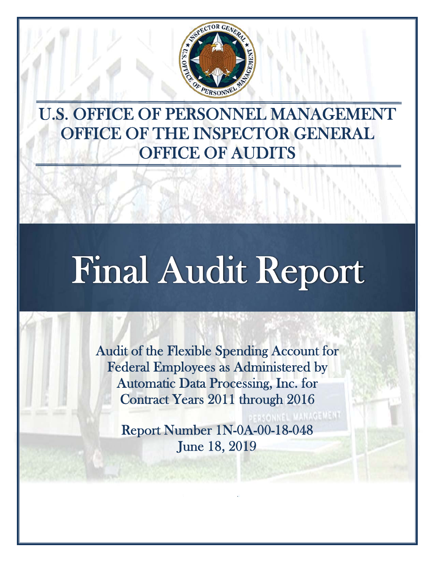

U.S. OFFICE OF PERSONNEL MANAGEMENT OFFICE OF THE INSPECTOR GENERAL OFFICE OF AUDITS

# Final Audit Report

Audit of the Flexible Spending Account for Federal Employees as Administered by Automatic Data Processing, Inc. for Contract Years 2011 through 2016

Report Number 1N-0A-00-18-048 June 18, 2019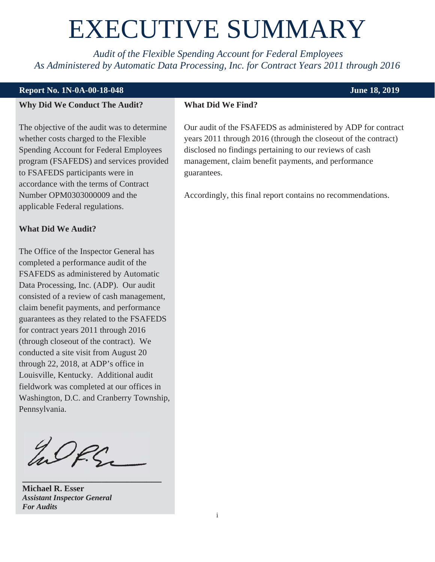## EXECUTIVE SUMMARY

<span id="page-1-0"></span>*Audit of the Flexible Spending Account for Federal Employees As Administered by Automatic Data Processing, Inc. for Contract Years 2011 through 2016* 

#### **Report No. 1N-0A-00-18-048** June 18, 2019

#### **Why Did We Conduct The Audit?**

The objective of the audit was to determine whether costs charged to the Flexible Spending Account for Federal Employees program (FSAFEDS) and services provided to FSAFEDS participants were in accordance with the terms of Contract Number OPM0303000009 and the applicable Federal regulations.

#### **What Did We Audit?**

The Office of the Inspector General has completed a performance audit of the FSAFEDS as administered by Automatic Data Processing, Inc. (ADP). Our audit consisted of a review of cash management, claim benefit payments, and performance guarantees as they related to the FSAFEDS for contract years 2011 through 2016 (through closeout of the contract). We conducted a site visit from August 20 through 22, 2018, at ADP's office in Louisville, Kentucky. Additional audit fieldwork was completed at our offices in Washington, D.C. and Cranberry Township, Pennsylvania.

In Of.S.

**\_\_\_\_\_\_\_\_\_\_\_\_\_\_\_\_\_\_\_\_\_\_\_\_\_\_\_\_** 

**Michael R. Esser**  *Assistant Inspector General For Audits* 

#### **What Did We Find?**

Our audit of the FSAFEDS as administered by ADP for contract years 2011 through 2016 (through the closeout of the contract) disclosed no findings pertaining to our reviews of cash management, claim benefit payments, and performance guarantees.

Accordingly, this final report contains no recommendations.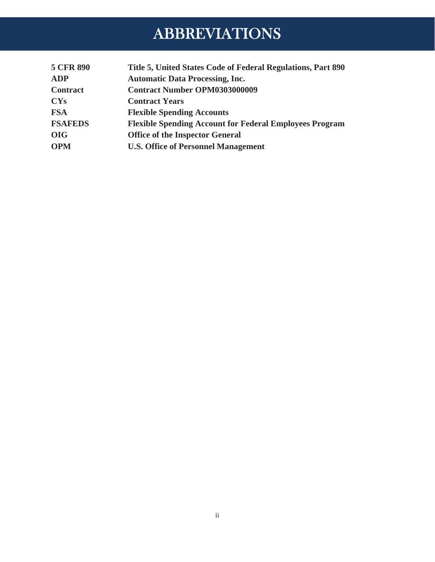## ABBREVIATIONS

<span id="page-2-0"></span>

| <b>5 CFR 890</b> | Title 5, United States Code of Federal Regulations, Part 890   |
|------------------|----------------------------------------------------------------|
| <b>ADP</b>       | <b>Automatic Data Processing, Inc.</b>                         |
| <b>Contract</b>  | <b>Contract Number OPM0303000009</b>                           |
| <b>CYs</b>       | <b>Contract Years</b>                                          |
| <b>FSA</b>       | <b>Flexible Spending Accounts</b>                              |
| <b>FSAFEDS</b>   | <b>Flexible Spending Account for Federal Employees Program</b> |
| <b>OIG</b>       | <b>Office of the Inspector General</b>                         |
| <b>OPM</b>       | <b>U.S. Office of Personnel Management</b>                     |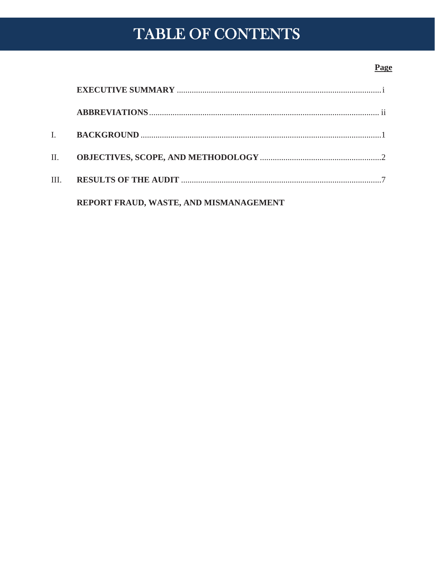## TABLE OF CONTENTS

#### Page

| $\mathbf{I}$ . |                                        |  |
|----------------|----------------------------------------|--|
| II. <b>II.</b> |                                        |  |
| III.           |                                        |  |
|                | REPORT FRAUD, WASTE, AND MISMANAGEMENT |  |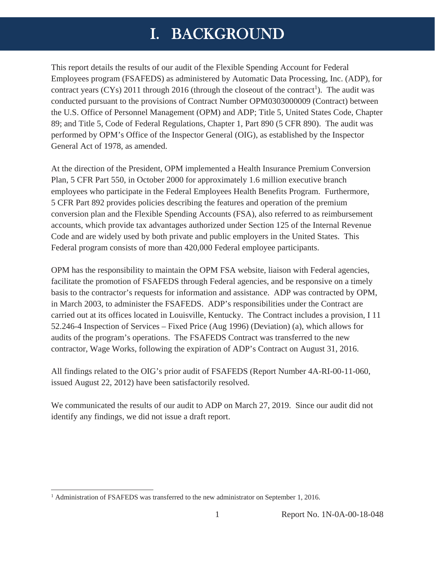## I. BACKGROUND

<span id="page-4-0"></span>This report details the results of our audit of the Flexible Spending Account for Federal Employees program (FSAFEDS) as administered by Automatic Data Processing, Inc. (ADP), for contract years (CYs) 2011 through 2016 (through the closeout of the contract<sup>1</sup>). The audit was conducted pursuant to the provisions of Contract Number OPM0303000009 (Contract) between the U.S. Office of Personnel Management (OPM) and ADP; Title 5, United States Code, Chapter 89; and Title 5, Code of Federal Regulations, Chapter 1, Part 890 (5 CFR 890). The audit was performed by OPM's Office of the Inspector General (OIG), as established by the Inspector General Act of 1978, as amended.

At the direction of the President, OPM implemented a Health Insurance Premium Conversion Plan, 5 CFR Part 550, in October 2000 for approximately 1.6 million executive branch employees who participate in the Federal Employees Health Benefits Program. Furthermore, 5 CFR Part 892 provides policies describing the features and operation of the premium conversion plan and the Flexible Spending Accounts (FSA), also referred to as reimbursement accounts, which provide tax advantages authorized under Section 125 of the Internal Revenue Code and are widely used by both private and public employers in the United States. This Federal program consists of more than 420,000 Federal employee participants.

OPM has the responsibility to maintain the OPM FSA website, liaison with Federal agencies, facilitate the promotion of FSAFEDS through Federal agencies, and be responsive on a timely basis to the contractor's requests for information and assistance. ADP was contracted by OPM, in March 2003, to administer the FSAFEDS. ADP's responsibilities under the Contract are carried out at its offices located in Louisville, Kentucky. The Contract includes a provision, I 11 52.246-4 Inspection of Services – Fixed Price (Aug 1996) (Deviation) (a), which allows for audits of the program's operations. The FSAFEDS Contract was transferred to the new contractor, Wage Works, following the expiration of ADP's Contract on August 31, 2016.

All findings related to the OIG's prior audit of FSAFEDS (Report Number 4A-RI-00-11-060, issued August 22, 2012) have been satisfactorily resolved.

We communicated the results of our audit to ADP on March 27, 2019. Since our audit did not identify any findings, we did not issue a draft report.

 $\overline{a}$ 

<sup>&</sup>lt;sup>1</sup> Administration of FSAFEDS was transferred to the new administrator on September 1, 2016.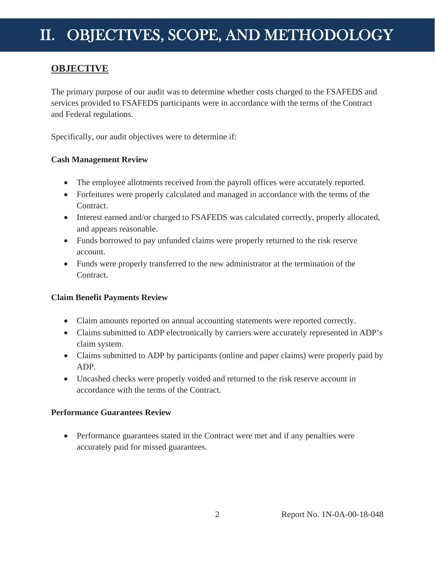### <span id="page-5-0"></span>**OBJECTIVE**

The primary purpose of our audit was to determine whether costs charged to the FSAFEDS and services provided to FSAFEDS participants were in accordance with the terms of the Contract and Federal regulations.

Specifically, our audit objectives were to determine if:

#### **Cash Management Review**

- The employee allotments received from the payroll offices were accurately reported.
- Forfeitures were properly calculated and managed in accordance with the terms of the Contract.
- Interest earned and/or charged to FSAFEDS was calculated correctly, properly allocated, and appears reasonable.
- Funds borrowed to pay unfunded claims were properly returned to the risk reserve account.
- Funds were properly transferred to the new administrator at the termination of the Contract.

#### **Claim Benefit Payments Review**

- Claim amounts reported on annual accounting statements were reported correctly.
- Claims submitted to ADP electronically by carriers were accurately represented in ADP's claim system.
- Claims submitted to ADP by participants (online and paper claims) were properly paid by ADP.
- Uncashed checks were properly voided and returned to the risk reserve account in accordance with the terms of the Contract.

#### **Performance Guarantees Review**

• Performance guarantees stated in the Contract were met and if any penalties were accurately paid for missed guarantees.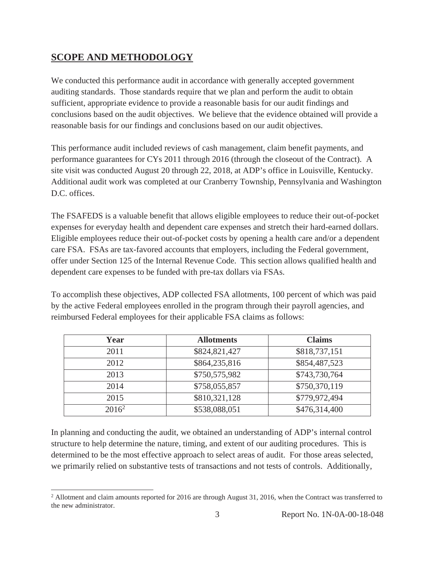### **SCOPE AND METHODOLOGY**

 $\overline{a}$ 

We conducted this performance audit in accordance with generally accepted government auditing standards. Those standards require that we plan and perform the audit to obtain sufficient, appropriate evidence to provide a reasonable basis for our audit findings and conclusions based on the audit objectives. We believe that the evidence obtained will provide a reasonable basis for our findings and conclusions based on our audit objectives.

This performance audit included reviews of cash management, claim benefit payments, and performance guarantees for CYs 2011 through 2016 (through the closeout of the Contract). A site visit was conducted August 20 through 22, 2018, at ADP's office in Louisville, Kentucky. Additional audit work was completed at our Cranberry Township, Pennsylvania and Washington D.C. offices.

The FSAFEDS is a valuable benefit that allows eligible employees to reduce their out-of-pocket expenses for everyday health and dependent care expenses and stretch their hard-earned dollars. Eligible employees reduce their out-of-pocket costs by opening a health care and/or a dependent care FSA. FSAs are tax-favored accounts that employers, including the Federal government, offer under Section 125 of the Internal Revenue Code. This section allows qualified health and dependent care expenses to be funded with pre-tax dollars via FSAs.

To accomplish these objectives, ADP collected FSA allotments, 100 percent of which was paid by the active Federal employees enrolled in the program through their payroll agencies, and reimbursed Federal employees for their applicable FSA claims as follows:

| Year     | <b>Allotments</b> | <b>Claims</b> |
|----------|-------------------|---------------|
| 2011     | \$824,821,427     | \$818,737,151 |
| 2012     | \$864,235,816     | \$854,487,523 |
| 2013     | \$750,575,982     | \$743,730,764 |
| 2014     | \$758,055,857     | \$750,370,119 |
| 2015     | \$810,321,128     | \$779,972,494 |
| $2016^2$ | \$538,088,051     | \$476,314,400 |

In planning and conducting the audit, we obtained an understanding of ADP's internal control structure to help determine the nature, timing, and extent of our auditing procedures. This is determined to be the most effective approach to select areas of audit. For those areas selected, we primarily relied on substantive tests of transactions and not tests of controls. Additionally,

 $2$  Allotment and claim amounts reported for 2016 are through August 31, 2016, when the Contract was transferred to the new administrator.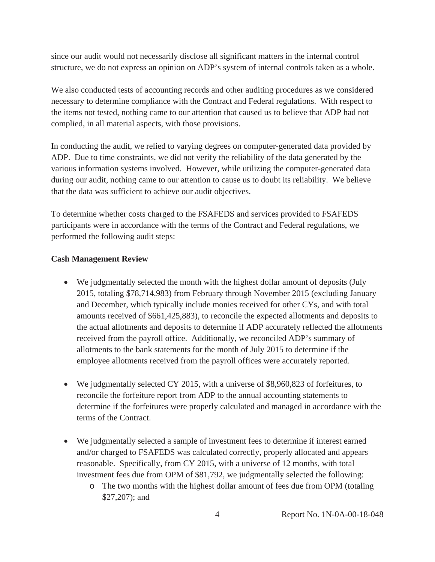since our audit would not necessarily disclose all significant matters in the internal control structure, we do not express an opinion on ADP's system of internal controls taken as a whole.

We also conducted tests of accounting records and other auditing procedures as we considered necessary to determine compliance with the Contract and Federal regulations. With respect to the items not tested, nothing came to our attention that caused us to believe that ADP had not complied, in all material aspects, with those provisions.

In conducting the audit, we relied to varying degrees on computer-generated data provided by ADP. Due to time constraints, we did not verify the reliability of the data generated by the various information systems involved. However, while utilizing the computer-generated data during our audit, nothing came to our attention to cause us to doubt its reliability. We believe that the data was sufficient to achieve our audit objectives.

To determine whether costs charged to the FSAFEDS and services provided to FSAFEDS participants were in accordance with the terms of the Contract and Federal regulations, we performed the following audit steps:

#### **Cash Management Review**

- We judgmentally selected the month with the highest dollar amount of deposits (July 2015, totaling \$78,714,983) from February through November 2015 (excluding January and December, which typically include monies received for other CYs, and with total amounts received of \$661,425,883), to reconcile the expected allotments and deposits to the actual allotments and deposits to determine if ADP accurately reflected the allotments received from the payroll office. Additionally, we reconciled ADP's summary of allotments to the bank statements for the month of July 2015 to determine if the employee allotments received from the payroll offices were accurately reported.
- $\bullet$  We judgmentally selected CY 2015, with a universe of \$8,960,823 of forfeitures, to reconcile the forfeiture report from ADP to the annual accounting statements to determine if the forfeitures were properly calculated and managed in accordance with the terms of the Contract.
- We judgmentally selected a sample of investment fees to determine if interest earned and/or charged to FSAFEDS was calculated correctly, properly allocated and appears reasonable. Specifically, from CY 2015, with a universe of 12 months, with total investment fees due from OPM of \$81,792, we judgmentally selected the following:
	- o The two months with the highest dollar amount of fees due from OPM (totaling \$27,207); and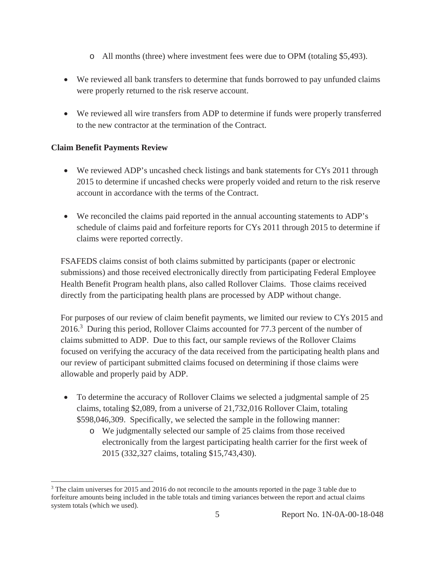- o All months (three) where investment fees were due to OPM (totaling \$5,493).
- We reviewed all bank transfers to determine that funds borrowed to pay unfunded claims were properly returned to the risk reserve account.
- We reviewed all wire transfers from ADP to determine if funds were properly transferred to the new contractor at the termination of the Contract.

#### **Claim Benefit Payments Review**

 $\overline{a}$ 

- $\bullet$  We reviewed ADP's uncashed check listings and bank statements for CYs 2011 through 2015 to determine if uncashed checks were properly voided and return to the risk reserve account in accordance with the terms of the Contract.
- We reconciled the claims paid reported in the annual accounting statements to ADP's schedule of claims paid and forfeiture reports for CYs 2011 through 2015 to determine if claims were reported correctly.

FSAFEDS claims consist of both claims submitted by participants (paper or electronic submissions) and those received electronically directly from participating Federal Employee Health Benefit Program health plans, also called Rollover Claims. Those claims received directly from the participating health plans are processed by ADP without change.

For purposes of our review of claim benefit payments, we limited our review to CYs 2015 and 2016.<sup>3</sup> During this period, Rollover Claims accounted for 77.3 percent of the number of claims submitted to ADP. Due to this fact, our sample reviews of the Rollover Claims focused on verifying the accuracy of the data received from the participating health plans and our review of participant submitted claims focused on determining if those claims were allowable and properly paid by ADP.

- $\bullet$  To determine the accuracy of Rollover Claims we selected a judgmental sample of 25 claims, totaling \$2,089, from a universe of 21,732,016 Rollover Claim, totaling \$598,046,309. Specifically, we selected the sample in the following manner:
	- o We judgmentally selected our sample of 25 claims from those received electronically from the largest participating health carrier for the first week of 2015 (332,327 claims, totaling \$15,743,430).

<sup>&</sup>lt;sup>3</sup> The claim universes for 2015 and 2016 do not reconcile to the amounts reported in the page 3 table due to forfeiture amounts being included in the table totals and timing variances between the report and actual claims system totals (which we used).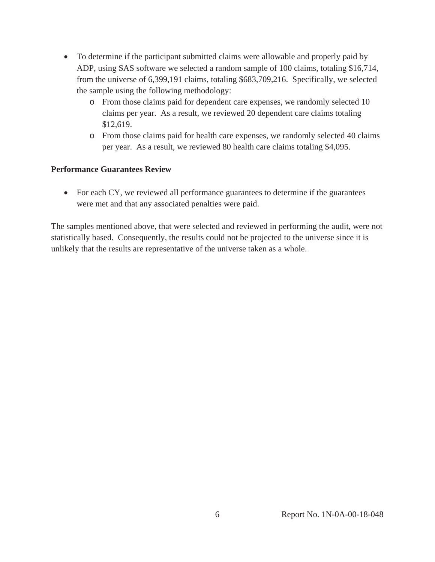- To determine if the participant submitted claims were allowable and properly paid by ADP, using SAS software we selected a random sample of 100 claims, totaling \$16,714, from the universe of 6,399,191 claims, totaling \$683,709,216. Specifically, we selected the sample using the following methodology:
	- o From those claims paid for dependent care expenses, we randomly selected 10 claims per year. As a result, we reviewed 20 dependent care claims totaling \$12,619.
	- o From those claims paid for health care expenses, we randomly selected 40 claims per year. As a result, we reviewed 80 health care claims totaling \$4,095.

#### **Performance Guarantees Review**

 $\bullet$  For each CY, we reviewed all performance guarantees to determine if the guarantees were met and that any associated penalties were paid.

The samples mentioned above, that were selected and reviewed in performing the audit, were not statistically based. Consequently, the results could not be projected to the universe since it is unlikely that the results are representative of the universe taken as a whole.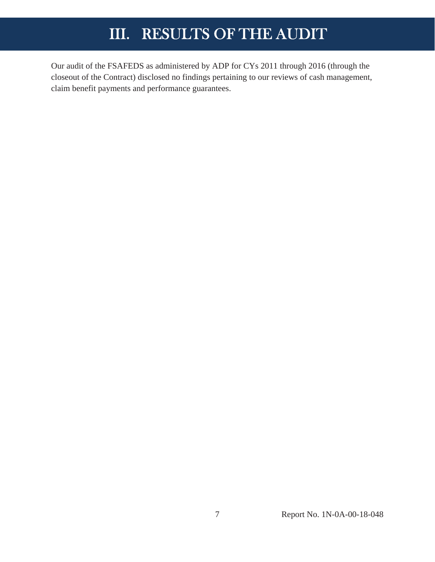## III. RESULTS OF THE AUDIT

<span id="page-10-0"></span>Our audit of the FSAFEDS as administered by ADP for CYs 2011 through 2016 (through the closeout of the Contract) disclosed no findings pertaining to our reviews of cash management, claim benefit payments and performance guarantees.